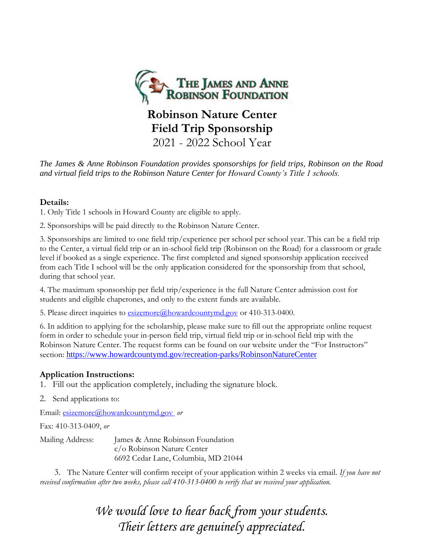

# **Robinson Nature Center Field Trip Sponsorship** 2021 - 2022 School Year

*The James & Anne Robinson Foundation provides sponsorships for field trips, Robinson on the Road and virtual field trips to the Robinson Nature Center for Howard County's Title 1 schools.*

### **Details:**

1. Only Title 1 schools in Howard County are eligible to apply.

2. Sponsorships will be paid directly to the Robinson Nature Center.

3. Sponsorships are limited to one field trip/experience per school per school year. This can be a field trip to the Center, a virtual field trip or an in-school field trip (Robinson on the Road) for a classroom or grade level if booked as a single experience. The first completed and signed sponsorship application received from each Title I school will be the only application considered for the sponsorship from that school, during that school year.

4. The maximum sponsorship per field trip/experience is the full Nature Center admission cost for students and eligible chaperones, and only to the extent funds are available.

5. Please direct inquiries to [esizemore@howardcountymd.gov](mailto:ereinecke@howardcountymd.gov) or 410-313-0400.

6. In addition to applying for the scholarship, please make sure to fill out the appropriate online request form in order to schedule your in-person field trip, virtual field trip or in-school field trip with the Robinson Nature Center. The request forms can be found on our website under the "For Instructors" section: <https://www.howardcountymd.gov/recreation-parks/RobinsonNatureCenter>

## **Application Instructions:**

- 1. Fill out the application completely, including the signature block.
- 2. Send applications to:

Email: [esizemore@howardcountymd.gov](mailto:ereinecke@howardcountymd.gov) *or* 

Fax: 410-313-0409, *or*

Mailing Address: James & Anne Robinson Foundation c/o Robinson Nature Center 6692 Cedar Lane, Columbia, MD 21044

 3. The Nature Center will confirm receipt of your application within 2 weeks via email. *If you have not received confirmation after two weeks, please call 410-313-0400 to verify that we received your application.*

> *We would love to hear back from your students. Their letters are genuinely appreciated.*